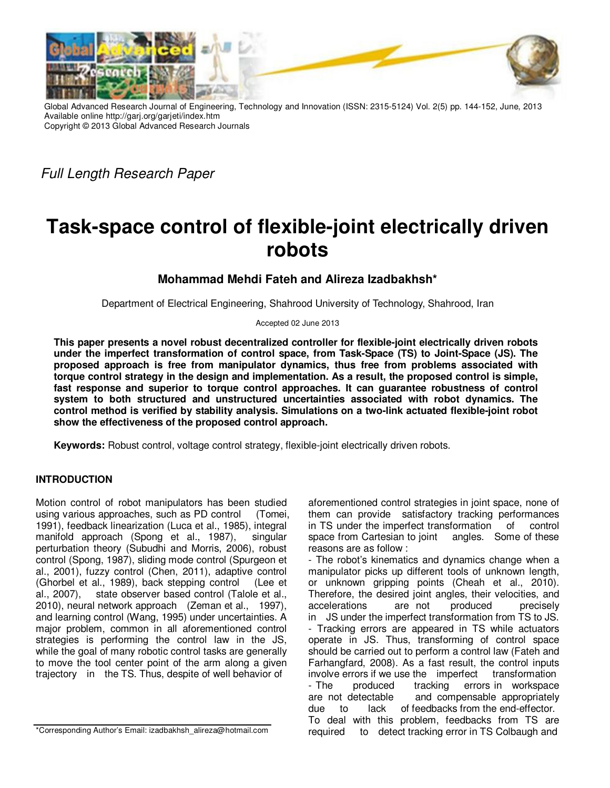

Global Advanced Research Journal of Engineering, Technology and Innovation (ISSN: 2315-5124) Vol. 2(5) pp. 144-152, June, 2013 Available online http://garj.org/garjeti/index.htm Copyright © 2013 Global Advanced Research Journals

Full Length Research Paper

# **Task-space control of flexible-joint electrically driven robots**

## **Mohammad Mehdi Fateh and Alireza Izadbakhsh\***

Department of Electrical Engineering, Shahrood University of Technology, Shahrood, Iran

Accepted 02 June 2013

**This paper presents a novel robust decentralized controller for flexible-joint electrically driven robots under the imperfect transformation of control space, from Task-Space (TS) to Joint-Space (JS). The proposed approach is free from manipulator dynamics, thus free from problems associated with torque control strategy in the design and implementation. As a result, the proposed control is simple, fast response and superior to torque control approaches. It can guarantee robustness of control system to both structured and unstructured uncertainties associated with robot dynamics. The control method is verified by stability analysis. Simulations on a two-link actuated flexible-joint robot show the effectiveness of the proposed control approach.** 

**Keywords:** Robust control, voltage control strategy, flexible-joint electrically driven robots.

## **INTRODUCTION**

Motion control of robot manipulators has been studied using various approaches, such as PD control (Tomei, 1991), feedback linearization (Luca et al., 1985), integral manifold approach (Spong et al., 1987), singular perturbation theory (Subudhi and Morris, 2006), robust control (Spong, 1987), sliding mode control (Spurgeon et al., 2001), fuzzy control (Chen, 2011), adaptive control (Ghorbel et al., 1989), back stepping control (Lee et al., 2007), state observer based control (Talole et al., 2010), neural network approach (Zeman et al., 1997), and learning control (Wang, 1995) under uncertainties. A major problem, common in all aforementioned control strategies is performing the control law in the JS, while the goal of many robotic control tasks are generally to move the tool center point of the arm along a given trajectory in the TS. Thus, despite of well behavior of

\*Corresponding Author's Email: izadbakhsh\_alireza@hotmail.com

aforementioned control strategies in joint space, none of them can provide satisfactory tracking performances in TS under the imperfect transformation of control space from Cartesian to joint angles. Some of these reasons are as follow :

- The robot's kinematics and dynamics change when a manipulator picks up different tools of unknown length, or unknown gripping points (Cheah et al., 2010). Therefore, the desired joint angles, their velocities, and accelerations are not produced precisely in JS under the imperfect transformation from TS to JS. - Tracking errors are appeared in TS while actuators operate in JS. Thus, transforming of control space should be carried out to perform a control law (Fateh and Farhangfard, 2008). As a fast result, the control inputs involve errors if we use the imperfect transformation - The produced tracking errors in workspace are not detectable and compensable appropriately due to lack of feedbacks from the end-effector. To deal with this problem, feedbacks from TS are required to detect tracking error in TS Colbaugh and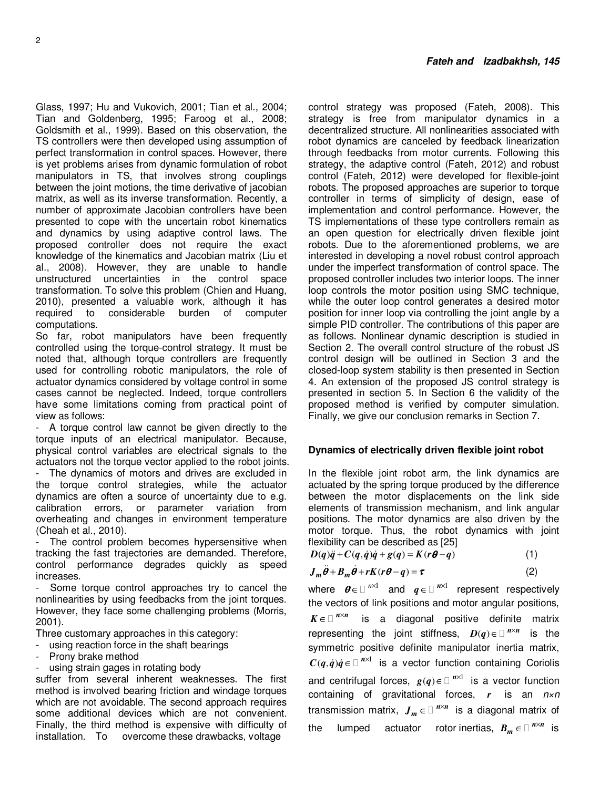Glass, 1997; Hu and Vukovich, 2001; Tian et al., 2004; Tian and Goldenberg, 1995; Faroog et al., 2008; Goldsmith et al., 1999). Based on this observation, the TS controllers were then developed using assumption of perfect transformation in control spaces. However, there is yet problems arises from dynamic formulation of robot manipulators in TS, that involves strong couplings between the joint motions, the time derivative of jacobian matrix, as well as its inverse transformation. Recently, a number of approximate Jacobian controllers have been presented to cope with the uncertain robot kinematics and dynamics by using adaptive control laws. The proposed controller does not require the exact knowledge of the kinematics and Jacobian matrix (Liu et al., 2008). However, they are unable to handle unstructured uncertainties in the control space transformation. To solve this problem (Chien and Huang, 2010), presented a valuable work, although it has required to considerable burden of computer computations.

So far, robot manipulators have been frequently controlled using the torque-control strategy. It must be noted that, although torque controllers are frequently used for controlling robotic manipulators, the role of actuator dynamics considered by voltage control in some cases cannot be neglected. Indeed, torque controllers have some limitations coming from practical point of view as follows:

A torque control law cannot be given directly to the torque inputs of an electrical manipulator. Because, physical control variables are electrical signals to the actuators not the torque vector applied to the robot joints. - The dynamics of motors and drives are excluded in the torque control strategies, while the actuator dynamics are often a source of uncertainty due to e.g. calibration errors, or parameter variation from overheating and changes in environment temperature (Cheah et al., 2010).

- The control problem becomes hypersensitive when tracking the fast trajectories are demanded. Therefore, control performance degrades quickly as speed increases.

Some torque control approaches try to cancel the nonlinearities by using feedbacks from the joint torques. However, they face some challenging problems (Morris, 2001).

Three customary approaches in this category:

- using reaction force in the shaft bearings
- Prony brake method
- using strain gages in rotating body

suffer from several inherent weaknesses. The first method is involved bearing friction and windage torques which are not avoidable. The second approach requires some additional devices which are not convenient. Finally, the third method is expensive with difficulty of installation. To overcome these drawbacks, voltage

control strategy was proposed (Fateh, 2008). This strategy is free from manipulator dynamics in a decentralized structure. All nonlinearities associated with robot dynamics are canceled by feedback linearization through feedbacks from motor currents. Following this strategy, the adaptive control (Fateh, 2012) and robust control (Fateh, 2012) were developed for flexible-joint robots. The proposed approaches are superior to torque controller in terms of simplicity of design, ease of implementation and control performance. However, the TS implementations of these type controllers remain as an open question for electrically driven flexible joint robots. Due to the aforementioned problems, we are interested in developing a novel robust control approach under the imperfect transformation of control space. The proposed controller includes two interior loops. The inner loop controls the motor position using SMC technique, while the outer loop control generates a desired motor position for inner loop via controlling the joint angle by a simple PID controller. The contributions of this paper are as follows. Nonlinear dynamic description is studied in Section 2. The overall control structure of the robust JS control design will be outlined in Section 3 and the closed-loop system stability is then presented in Section 4. An extension of the proposed JS control strategy is presented in section 5. In Section 6 the validity of the proposed method is verified by computer simulation. Finally, we give our conclusion remarks in Section 7.

#### **Dynamics of electrically driven flexible joint robot**

In the flexible joint robot arm, the link dynamics are actuated by the spring torque produced by the difference between the motor displacements on the link side elements of transmission mechanism, and link angular positions. The motor dynamics are also driven by the motor torque. Thus, the robot dynamics with joint flexibility can be described as [25]

| $D(q)\ddot{q}+C(q,\dot{q})\dot{q}+g(q)=K(r\theta-q)$ |  |
|------------------------------------------------------|--|

$$
J_m \ddot{\theta} + B_m \dot{\theta} + rK(r\theta - q) = \tau
$$
 (2)

where  $\boldsymbol{\theta} \in \mathbb{R}^{n \times 1}$  and  $q \in \mathbb{R}^{n \times 1}$  represent respectively the vectors of link positions and motor angular positions,  $K \in \mathbb{R}^{n \times n}$  is a diagonal positive definite matrix representing the joint stiffness,  $D(q) \in \mathbb{R}^{n \times n}$  is the symmetric positive definite manipulator inertia matrix,  $C(q, \dot{q})\dot{q} \in \mathbb{R}^{n \times 1}$  is a vector function containing Coriolis and centrifugal forces,  $g(q) \in \mathbb{R}^{N \times 1}$  is a vector function containing of gravitational forces, *r* is an n×n transmission matrix,  $J_m \in \mathbb{R}^{m \times n}$  is a diagonal matrix of the lumped actuator rotor-inertias,  $B_m \in \mathbb{R}^{N \times n}$  is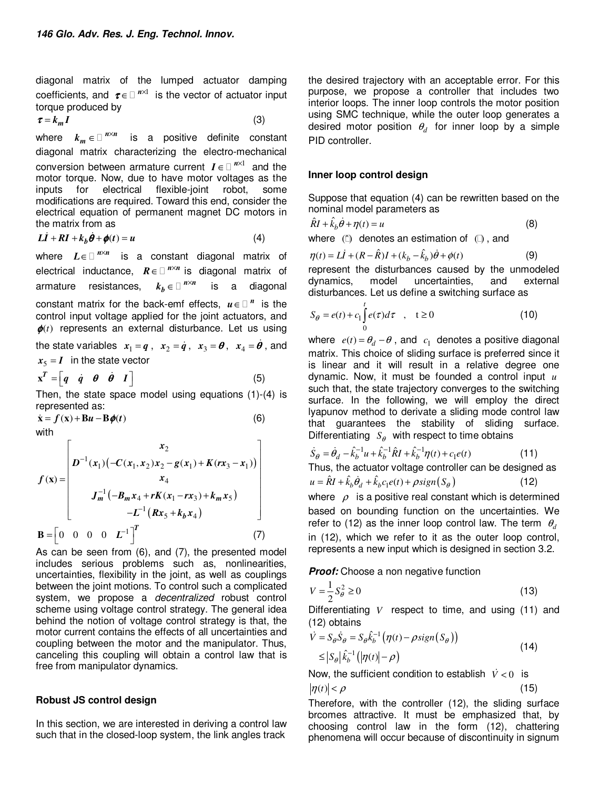diagonal matrix of the lumped actuator damping coefficients, and  $\tau \in \mathbb{R}^{n \times 1}$  is the vector of actuator input torque produced by

$$
\tau = k_m I \tag{3}
$$

where  $k_m \in \mathbb{R}^{n \times n}$  is a positive definite constant diagonal matrix characterizing the electro-mechanical conversion between armature current  $I \in \mathbb{R}^{N \times 1}$  and the motor torque. Now, due to have motor voltages as the inputs for electrical flexible-joint robot, some modifications are required. Toward this end, consider the electrical equation of permanent magnet DC motors in the matrix from as

$$
L\dot{I} + RI + k_b \dot{\theta} + \phi(t) = u \tag{4}
$$

where  $L \in \mathbb{R}^{m \times n}$  is a constant diagonal matrix of electrical inductance,  $R \in \mathbb{R}^{n \times n}$  is diagonal matrix of armature resistances,  $k_b \in \mathbb{R}^N$  is a diagonal constant matrix for the back-emf effects,  $u \in \mathbb{R}^n$  is the control input voltage applied for the joint actuators, and  $\phi(t)$  represents an external disturbance. Let us using the state variables  $x_1 = q$ ,  $x_2 = \dot{q}$ ,  $x_3 = \theta$ ,  $x_4 = \dot{\theta}$ , and  $x_5 = I$  in the state vector

$$
\mathbf{x}^T = \begin{bmatrix} q & \dot{q} & \theta & \dot{\theta} & I \end{bmatrix} \tag{5}
$$

Then, the state space model using equations (1)-(4) is represented as:

 $\dot{\mathbf{x}} = f(\mathbf{x}) + \mathbf{B}u - \mathbf{B}\phi(t)$  (6)

with

$$
f(\mathbf{x}) = \begin{bmatrix} x_2 \\ D^{-1}(x_1) (-C(x_1, x_2)x_2 - g(x_1) + K(rx_3 - x_1)) \\ x_4 \\ J_m^{-1} (-B_m x_4 + rK(x_1 - rx_3) + k_m x_5) \\ -L^{-1} (Rx_5 + k_b x_4) \end{bmatrix}
$$
  
\n
$$
\mathbf{B} = \begin{bmatrix} 0 & 0 & 0 & 0 & L^{-1} \end{bmatrix}^T
$$
 (7)

As can be seen from (6), and (7), the presented model includes serious problems such as, nonlinearities, uncertainties, flexibility in the joint, as well as couplings between the joint motions. To control such a complicated system, we propose a *decentralized* robust control scheme using voltage control strategy. The general idea behind the notion of voltage control strategy is that, the motor current contains the effects of all uncertainties and coupling between the motor and the manipulator. Thus, canceling this coupling will obtain a control law that is free from manipulator dynamics.

### **Robust JS control design**

In this section, we are interested in deriving a control law such that in the closed-loop system, the link angles track

the desired trajectory with an acceptable error. For this purpose, we propose a controller that includes two interior loops. The inner loop controls the motor position using SMC technique, while the outer loop generates a desired motor position  $\theta_d$  for inner loop by a simple PID controller.

## **Inner loop control design**

Suppose that equation (4) can be rewritten based on the nominal model parameters as

$$
\hat{R}I + \hat{k}_b \dot{\theta} + \eta(t) = u \tag{8}
$$

where  $( \hat{ } )$  denotes an estimation of  $( )$ , and

$$
\eta(t) = L\dot{I} + (R - \hat{R})I + (k_b - \hat{k}_b)\dot{\theta} + \phi(t)
$$
\n(9)

represent the disturbances caused by the unmodeled dynamics, model uncertainties, and external disturbances. Let us define a switching surface as

$$
S_{\theta} = e(t) + c_1 \int_0^t e(\tau) d\tau \quad , \quad t \ge 0 \tag{10}
$$

where  $e(t) = \theta_d - \theta$ , and  $c_1$  denotes a positive diagonal matrix. This choice of sliding surface is preferred since it is linear and it will result in a relative degree one dynamic. Now, it must be founded a control input *u* such that, the state trajectory converges to the switching surface. In the following, we will employ the direct lyapunov method to derivate a sliding mode control law that guarantees the stability of sliding surface. Differentiating  $S_{\theta}$  with respect to time obtains

$$
\dot{S}_{\theta} = \dot{\theta}_{d} - \hat{k}_{b}^{-1}u + \hat{k}_{b}^{-1}\hat{R}I + \hat{k}_{b}^{-1}\eta(t) + c_{1}e(t)
$$
\n(11)

Thus, the actuator voltage controller can be designed as

$$
u = \hat{R}I + \hat{k}_b \dot{\theta}_d + \hat{k}_b c_1 e(t) + \rho sign(S_\theta)
$$
\n(12)

where  $\rho$  is a positive real constant which is determined based on bounding function on the uncertainties. We refer to (12) as the inner loop control law. The term  $\theta_d$ in (12), which we refer to it as the outer loop control, represents a new input which is designed in section 3.2.

*Proof:* Choose a non negative function

$$
V = \frac{1}{2}S_{\theta}^2 \ge 0\tag{13}
$$

Differentiating *V* respect to time, and using (11) and (12) obtains

$$
\dot{V} = S_{\theta} \dot{S}_{\theta} = S_{\theta} \hat{k}_{b}^{-1} \left( \eta(t) - \rho \operatorname{sign}(S_{\theta}) \right)
$$
  
\n
$$
\leq |S_{\theta}| \hat{k}_{b}^{-1} \left( |\eta(t)| - \rho \right)
$$
\n(14)

Now, the sufficient condition to establish  $\dot{V} < 0$  is  $|\eta(t)| < \rho$  (15)

Therefore, with the controller (12), the sliding surface brcomes attractive. It must be emphasized that, by choosing control law in the form (12), chattering phenomena will occur because of discontinuity in signum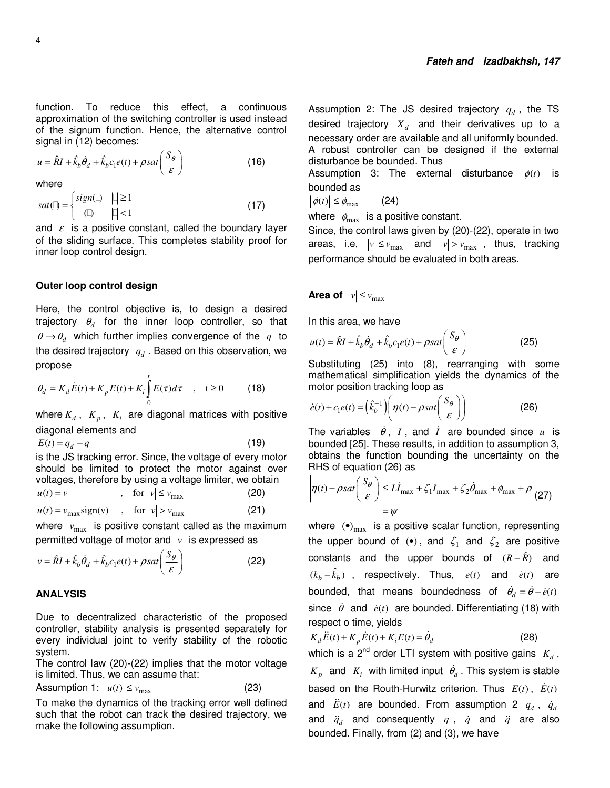function. To reduce this effect, a continuous approximation of the switching controller is used instead of the signum function. Hence, the alternative control signal in (12) becomes:

$$
u = \hat{R}I + \hat{k}_b \dot{\theta}_d + \hat{k}_b c_1 e(t) + \rho s a t \left(\frac{S_\theta}{\varepsilon}\right)
$$
 (16)

where

$$
sat(\ ) = \begin{cases} sign(\ ) & || \ge 1 \\ & (\ ) & || < 1 \end{cases} \tag{17}
$$

and  $\varepsilon$  is a positive constant, called the boundary layer of the sliding surface. This completes stability proof for inner loop control design.

### **Outer loop control design**

Here, the control objective is, to design a desired trajectory <sup>θ</sup>*<sup>d</sup>* for the inner loop controller, so that  $\theta \rightarrow \theta_d$  which further implies convergence of the  $q$  to the desired trajectory  $\, q_d^{}$  . Based on this observation, we propose

$$
\theta_d = K_d \dot{E}(t) + K_p E(t) + K_i \int_0^t E(\tau) d\tau \quad , \quad t \ge 0 \tag{18}
$$

where  $K_d$ ,  $K_p$ ,  $K_i$  are diagonal matrices with positive diagonal elements and

$$
E(t) = q_d - q \tag{19}
$$

is the JS tracking error. Since, the voltage of every motor should be limited to protect the motor against over voltages, therefore by using a voltage limiter, we obtain

$$
u(t) = v \qquad , \quad \text{for } |v| \le v_{\text{max}} \qquad (20)
$$

$$
u(t) = v_{\text{max}} \text{sign}(v) \quad , \quad \text{for } |v| > v_{\text{max}} \tag{21}
$$

where  $v_{\text{max}}$  is positive constant called as the maximum permitted voltage of motor and *v* is expressed as

$$
v = \hat{R}I + \hat{k}_b \dot{\theta}_d + \hat{k}_b c_1 e(t) + \rho s a t \left(\frac{S_\theta}{\varepsilon}\right)
$$
 (22)

## **ANALYSIS**

Due to decentralized characteristic of the proposed controller, stability analysis is presented separately for every individual joint to verify stability of the robotic system.

The control law (20)-(22) implies that the motor voltage is limited. Thus, we can assume that:

Assumption 1: 
$$
|u(t)| \le v_{\text{max}}
$$
 (23)

To make the dynamics of the tracking error well defined such that the robot can track the desired trajectory, we make the following assumption.

Assumption 2: The JS desired trajectory *<sup>d</sup> q* , the TS desired trajectory  $X_d$  and their derivatives up to a necessary order are available and all uniformly bounded. A robust controller can be designed if the external disturbance be bounded. Thus

Assumption 3: The external disturbance  $\phi(t)$  is bounded as

 $\|\phi(t)\| \leq \phi_{\text{max}}$  (24)

where  $\phi_{\text{max}}$  is a positive constant.

Since, the control laws given by (20)-(22), operate in two areas, i.e,  $|v| \le v_{\text{max}}$  and  $|v| > v_{\text{max}}$ , thus, tracking performance should be evaluated in both areas.

## **Area of**  $|v| \le v_{\text{max}}$

In this area, we have

$$
u(t) = \hat{R}I + \hat{k}_b \dot{\theta}_d + \hat{k}_b c_1 e(t) + \rho s a t \left(\frac{S_\theta}{\varepsilon}\right)
$$
 (25)

Substituting (25) into (8), rearranging with some mathematical simplification yields the dynamics of the motor position tracking loop as

$$
\dot{e}(t) + c_1 e(t) = \left(\hat{k}_b^{-1}\right) \left(\eta(t) - \rho s a t \left(\frac{S_\theta}{\varepsilon}\right)\right) \tag{26}
$$

The variables  $\dot{\theta}$ , *I*, and *I* are bounded since *u* is bounded [25]. These results, in addition to assumption 3, obtains the function bounding the uncertainty on the RHS of equation (26) as

$$
\left|\eta(t) - \rho sat\left(\frac{S_{\theta}}{\varepsilon}\right)\right| \le L I_{\text{max}} + \zeta_1 I_{\text{max}} + \zeta_2 \dot{\theta}_{\text{max}} + \phi_{\text{max}} + \rho \tag{27}
$$
\n
$$
= \psi
$$

where  $\left( \bullet \right)_{\text{max}}$  is a positive scalar function, representing the upper bound of  $\left(\bullet\right)$ , and  $\zeta_1$  and  $\zeta_2$  are positive constants and the upper bounds of  $(R - \hat{R})$  and  $(k_b - \hat{k}_b)$ , respectively. Thus,  $e(t)$  and  $\dot{e}(t)$  are bounded, that means boundedness of  $\dot{\theta}_d = \dot{\theta} - \dot{e}(t)$ since  $\dot{\theta}$  and  $\dot{e}(t)$  are bounded. Differentiating (18) with respect o time, yields

$$
K_d \ddot{E}(t) + K_p \dot{E}(t) + K_i E(t) = \dot{\theta}_d
$$
 (28)

which is a 2<sup>nd</sup> order LTI system with positive gains  $K_d$ ,  $K_p$  and  $K_i$  with limited input  $\dot{\theta}_d$ . This system is stable based on the Routh-Hurwitz criterion. Thus  $E(t)$ ,  $\dot{E}(t)$ and  $\ddot{E}(t)$  are bounded. From assumption 2  $q_d$ ,  $\dot{q}_d$ and  $\ddot{q}_d$  and consequently  $q$ ,  $\dot{q}$  and  $\ddot{q}$  are also bounded. Finally, from (2) and (3), we have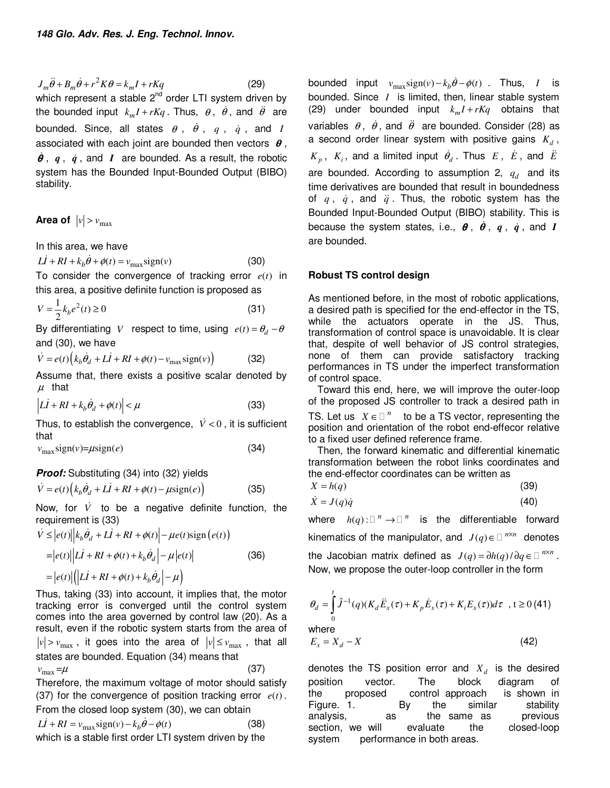$J_m \ddot{\theta} + B_m \dot{\theta} + r^2 K \theta = k_m I + rKq$  (29) which represent a stable  $2^{nd}$  order LTI system driven by the bounded input  $k_m I + rKq$ . Thus,  $\theta$ ,  $\dot{\theta}$ , and  $\ddot{\theta}$  are bounded. Since, all states  $\theta$ ,  $\dot{\theta}$ ,  $q$ ,  $\dot{q}$ , and *I* associated with each joint are bounded then vectors  $\theta$ ,  $\dot{\theta}$ ,  $q$ ,  $\dot{q}$ , and *I* are bounded. As a result, the robotic system has the Bounded Input-Bounded Output (BIBO) stability.

**Area of**  $|v| > v_{max}$ 

In this area, we have

 $L\dot{I} + RI + k_b \dot{\theta} + \phi(t) = v_{\text{max}} \text{sign}(v)$  (30)

To consider the convergence of tracking error  $e(t)$  in this area, a positive definite function is proposed as

$$
V = \frac{1}{2}k_b e^2(t) \ge 0
$$
\n(31)

By differentiating *V* respect to time, using  $e(t) = \theta_d - \theta$ and (30), we have

$$
\dot{V} = e(t) \left( k_b \dot{\theta}_d + L\dot{I} + RI + \phi(t) - v_{\text{max}} \text{sign}(v) \right)
$$
 (32)

Assume that, there exists a positive scalar denoted by  $\mu$  that

$$
\left| L\dot{I} + RI + k_b \dot{\theta}_d + \phi(t) \right| < \mu \tag{33}
$$

Thus, to establish the convergence,  $\dot{V} < 0$ , it is sufficient that

$$
v_{\text{max}} \text{sign}(v) = \mu \text{sign}(e) \tag{34}
$$

**Proof:** Substituting (34) into (32) yields

$$
\dot{V} = e(t) \left( k_b \dot{\theta}_d + L\dot{I} + RI + \phi(t) - \mu \text{sign}(e) \right) \tag{35}
$$

Now, for  $\dot{V}$  to be a negative definite function, the requirement is (33)

$$
\dot{V} \leq |e(t)||k_b \dot{\theta}_d + L\dot{I} + RI + \phi(t)| - \mu e(t) \text{sign}(e(t))
$$
  
=  $|e(t)||\dot{L}\dot{I} + RI + \phi(t) + k_b \dot{\theta}_d| - \mu|e(t)|$  (36)  
=  $|e(t)||(L\dot{I} + RI + \phi(t) + k_b \dot{\theta}_d| - \mu)$ 

Thus, taking (33) into account, it implies that, the motor tracking error is converged until the control system comes into the area governed by control law (20). As a result, even if the robotic system starts from the area of  $|v| > v_{\text{max}}$ , it goes into the area of  $|v| \le v_{\text{max}}$ , that all states are bounded. Equation (34) means that  $v_{\text{max}} = \mu$  (37) Therefore, the maximum voltage of motor should satisfy (37) for the convergence of position tracking error  $e(t)$ .

From the closed loop system (30), we can obtain  $LI + RI = v_{\text{max}} sign(v) - k_b \dot{\theta} - \phi(t)$  (38)

which is a stable first order LTI system driven by the

bounded input  $v_{\text{max}} \text{sign}(v) - k_b \dot{\theta} - \phi(t)$ . Thus, *I* is bounded. Since *I* is limited, then, linear stable system (29) under bounded input  $k_m I + rKq$  obtains that variables  $\theta$ ,  $\dot{\theta}$ , and  $\ddot{\theta}$  are bounded. Consider (28) as a second order linear system with positive gains  $K_d$ ,  $K_p$ ,  $K_i$ , and a limited input  $\dot{\theta}_d$ . Thus  $E$ ,  $\dot{E}$ , and  $\ddot{E}$ are bounded. According to assumption 2,  $q_d$  and its time derivatives are bounded that result in boundedness of  $q$ ,  $\dot{q}$ , and  $\ddot{q}$ . Thus, the robotic system has the Bounded Input-Bounded Output (BIBO) stability. This is because the system states, i.e.,  $\boldsymbol{\theta}$ ,  $\dot{\boldsymbol{\theta}}$ ,  $q$ ,  $\dot{q}$ , and *I* are bounded.

## **Robust TS control design**

As mentioned before, in the most of robotic applications, a desired path is specified for the end-effector in the TS, while the actuators operate in the JS. Thus, transformation of control space is unavoidable. It is clear that, despite of well behavior of JS control strategies, none of them can provide satisfactory tracking performances in TS under the imperfect transformation of control space.

Toward this end, here, we will improve the outer-loop of the proposed JS controller to track a desired path in

TS. Let us  $X \in \mathbb{R}^n$  to be a TS vector, representing the position and orientation of the robot end-effecor relative to a fixed user defined reference frame.

Then, the forward kinematic and differential kinematic transformation between the robot links coordinates and the end-effector coordinates can be written as

$$
X = h(q) \tag{39}
$$

$$
\dot{X} = J(q)\dot{q} \tag{40}
$$

where  $h(q)$ :  $\binom{n}{r}$  is the differentiable forward kinematics of the manipulator, and  $J(q) \in \mathbb{R}^{N \times n}$  denotes the Jacobian matrix defined as  $J(q) = \frac{\partial h(q)}{\partial q} \in \mathbb{R}^{N \times n}$ . Now, we propose the outer-loop controller in the form

$$
\theta_d = \int_0^t \hat{J}^{-1}(q)(K_d \ddot{E}_x(\tau) + K_p \dot{E}_x(\tau) + K_i E_x(\tau))d\tau , t \ge 0 (41)
$$
  
where  

$$
E_x = X_d - X
$$
 (42)

denotes the TS position error and  $X_d$  is the desired position vector. The block diagram of the proposed control approach is shown in Figure. 1. By the similar stability analysis, as the same as section, we will evaluate the closed-loop system performance in both areas.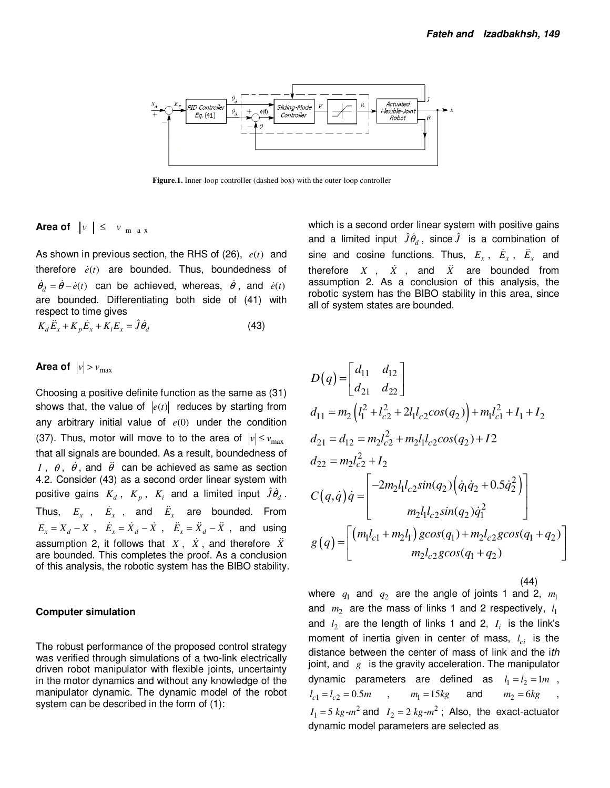

**Figure.1.** Inner-loop controller (dashed box) with the outer-loop controller

# **Area of**  $|v| \leq v_{max}$

As shown in previous section, the RHS of  $(26)$ ,  $e(t)$  and therefore  $\dot{e}(t)$  are bounded. Thus, boundedness of  $\dot{\theta}_d = \dot{\theta} - \dot{e}(t)$  can be achieved, whereas,  $\dot{\theta}$ , and  $\dot{e}(t)$ are bounded. Differentiating both side of (41) with respect to time gives

$$
K_d \ddot{E}_x + K_p \dot{E}_x + K_i E_x = \hat{J} \dot{\theta}_d
$$
\n(43)

# **Area of**  $|v| > v_{\text{max}}$

Choosing a positive definite function as the same as (31) shows that, the value of  $|e(t)|$  reduces by starting from any arbitrary initial value of *e*(0) under the condition (37). Thus, motor will move to to the area of  $|v| \le v_{\text{max}}$ that all signals are bounded. As a result, boundedness of *I*,  $\theta$ ,  $\dot{\theta}$ , and  $\ddot{\theta}$  can be achieved as same as section 4.2. Consider (43) as a second order linear system with positive gains  $K_d$ ,  $K_p$ ,  $K_i$  and a limited input  $\hat{J}\hat{\theta}_d$ . Thus,  $E_x$ ,  $\dot{E}_x$ , and  $\ddot{E}_x$  are bounded. From  $E_x = X_d - X$ ,  $\dot{E}_x = \dot{X}_d - \dot{X}$ ,  $\ddot{E}_x = \ddot{X}_d - \ddot{X}$ , and using assumption 2, it follows that  $X$ ,  $\dot{X}$ , and therefore  $\ddot{X}$ are bounded. This completes the proof. As a conclusion of this analysis, the robotic system has the BIBO stability.

### **Computer simulation**

The robust performance of the proposed control strategy was verified through simulations of a two-link electrically driven robot manipulator with flexible joints, uncertainty in the motor dynamics and without any knowledge of the manipulator dynamic. The dynamic model of the robot system can be described in the form of (1):

which is a second order linear system with positive gains and a limited input  $\hat{J}\hat{\theta}_d$ , since  $\hat{J}$  is a combination of sine and cosine functions. Thus,  $E_x$ ,  $\dot{E}_x$ ,  $\ddot{E}_x$  and therefore  $X$ ,  $\dot{X}$ , and  $\ddot{X}$  are bounded from assumption 2. As a conclusion of this analysis, the robotic system has the BIBO stability in this area, since all of system states are bounded.

$$
D(q) = \begin{bmatrix} d_{11} & d_{12} \\ d_{21} & d_{22} \end{bmatrix}
$$
  
\n
$$
d_{11} = m_2 \left( l_1^2 + l_{c2}^2 + 2l_1 l_{c2} cos(q_2) \right) + m_1 l_{c1}^2 + I_1 + I_2
$$
  
\n
$$
d_{21} = d_{12} = m_2 l_{c2}^2 + m_2 l_1 l_{c2} cos(q_2) + I_2
$$
  
\n
$$
d_{22} = m_2 l_{c2}^2 + I_2
$$
  
\n
$$
C(q, \dot{q}) \dot{q} = \begin{bmatrix} -2m_2 l_1 l_{c2} sin(q_2) \left( \dot{q}_1 \dot{q}_2 + 0.5 \dot{q}_2^2 \right) \\ m_2 l_1 l_{c2} sin(q_2) \dot{q}_1^2 \end{bmatrix}
$$
  
\n
$$
g(q) = \begin{bmatrix} \left( m_1 l_{c1} + m_2 l_1 \right) g cos(q_1) + m_2 l_{c2} g cos(q_1 + q_2) \\ m_2 l_{c2} g cos(q_1 + q_2) \end{bmatrix}
$$

(44)

where  $q_1$  and  $q_2$  are the angle of joints 1 and 2,  $m_1$ and  $m_2$  are the mass of links 1 and 2 respectively,  $l_1$ and  $l_2$  are the length of links 1 and 2,  $I_i$  is the link's moment of inertia given in center of mass,  $l_{ci}$  is the distance between the center of mass of link and the ith joint, and *g* is the gravity acceleration. The manipulator dynamic parameters are defined as  $l_1 = l_2 = 1m$ ,  $l_{c1} = l_{c2} = 0.5m$  ,  $m_1 = 15kg$  and  $m_2 = 6kg$  $I_1 = 5 \ kg$ - $m^2$  and  $I_2 = 2 \ kg$ - $m^2$ ; Also, the exact-actuator dynamic model parameters are selected as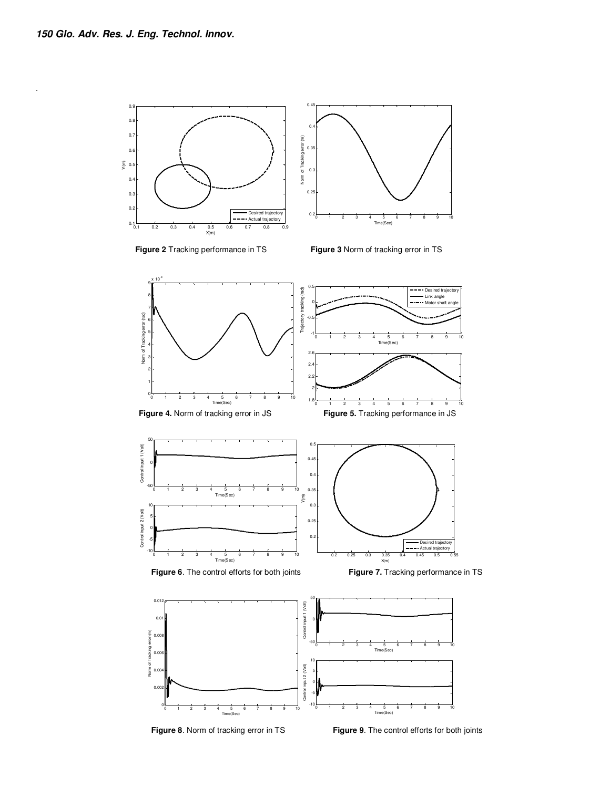.



 **Figure 8**. Norm of tracking error in TS **Figure 9**. The control efforts for both joints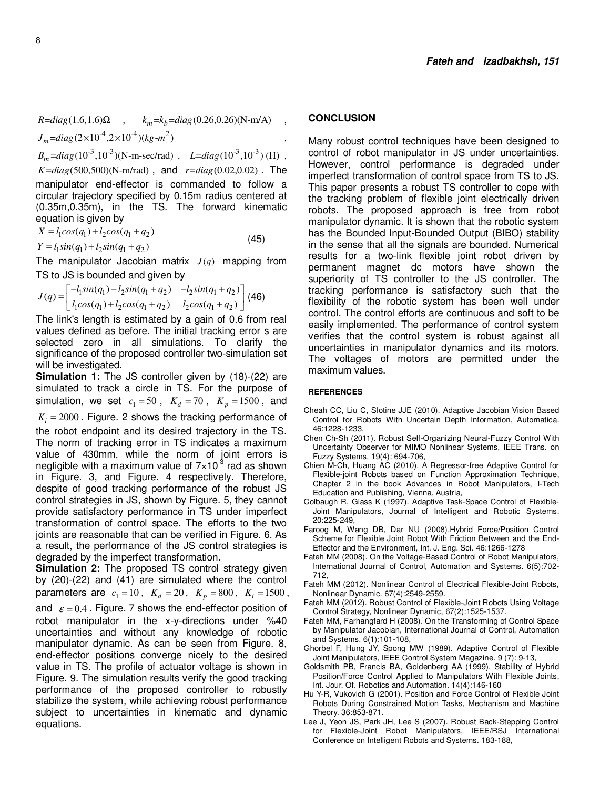$R = diag(1.6, 1.6)\Omega$ ,  $k_m = k_b = diag(0.26, 0.26)(N-m/A)$ ,  $J_m = diag(2 \times 10^{-4}, 2 \times 10^{-4}) (kg - m^2)$ 

 $B_m = diag(10^{-3}, 10^{-3})(N-m-sec/rad)$ ,  $L = diag(10^{-3}, 10^{-3})$  (H),  $K = diag(500, 500)$ (N-m/rad), and  $r = diag(0.02, 0.02)$ . The manipulator end-effector is commanded to follow a circular trajectory specified by 0.15m radius centered at (0.35m,0.35m), in the TS. The forward kinematic equation is given by

$$
X = l_1 \cos(q_1) + l_2 \cos(q_1 + q_2)
$$
\n(45)

 $Y = l_1 \sin(q_1) + l_2 \sin(q_1 + q_2)$ 

The manipulator Jacobian matrix  $J(q)$  mapping from TS to JS is bounded and given by

$$
J(q) = \begin{bmatrix} -l_1 sin(q_1) - l_2 sin(q_1 + q_2) & -l_2 sin(q_1 + q_2) \\ l_1 cos(q_1) + l_2 cos(q_1 + q_2) & l_2 cos(q_1 + q_2) \end{bmatrix}
$$
 (46)

The link's length is estimated by a gain of 0.6 from real values defined as before. The initial tracking error s are selected zero in all simulations. To clarify the significance of the proposed controller two-simulation set will be investigated.

**Simulation 1:** The JS controller given by (18)-(22) are simulated to track a circle in TS. For the purpose of simulation, we set  $c_1 = 50$ ,  $K_d = 70$ ,  $K_p = 1500$ , and

 $K_i = 2000$ . Figure. 2 shows the tracking performance of the robot endpoint and its desired trajectory in the TS. The norm of tracking error in TS indicates a maximum value of 430mm, while the norm of joint errors is negligible with a maximum value of  $7 \times 10^{-3}$  rad as shown in Figure. 3, and Figure. 4 respectively. Therefore, despite of good tracking performance of the robust JS control strategies in JS, shown by Figure. 5, they cannot provide satisfactory performance in TS under imperfect transformation of control space. The efforts to the two joints are reasonable that can be verified in Figure. 6. As a result, the performance of the JS control strategies is degraded by the imperfect transformation.

**Simulation 2:** The proposed TS control strategy given by (20)-(22) and (41) are simulated where the control parameters are  $c_1 = 10$ ,  $K_d = 20$ ,  $K_p = 800$ ,  $K_i = 1500$ , and  $\varepsilon = 0.4$ . Figure. 7 shows the end-effector position of robot manipulator in the x-y-directions under %40 uncertainties and without any knowledge of robotic manipulator dynamic. As can be seen from Figure. 8, end-effector positions converge nicely to the desired value in TS. The profile of actuator voltage is shown in Figure. 9. The simulation results verify the good tracking performance of the proposed controller to robustly stabilize the system, while achieving robust performance subject to uncertainties in kinematic and dynamic equations.

## **CONCLUSION**

Many robust control techniques have been designed to control of robot manipulator in JS under uncertainties. However, control performance is degraded under imperfect transformation of control space from TS to JS. This paper presents a robust TS controller to cope with the tracking problem of flexible joint electrically driven robots. The proposed approach is free from robot manipulator dynamic. It is shown that the robotic system has the Bounded Input-Bounded Output (BIBO) stability in the sense that all the signals are bounded. Numerical results for a two-link flexible joint robot driven by permanent magnet dc motors have shown the superiority of TS controller to the JS controller. The tracking performance is satisfactory such that the flexibility of the robotic system has been well under control. The control efforts are continuous and soft to be easily implemented. The performance of control system verifies that the control system is robust against all uncertainties in manipulator dynamics and its motors. The voltages of motors are permitted under the maximum values.

#### **REFERENCES**

- Cheah CC, Liu C, Slotine JJE (2010). Adaptive Jacobian Vision Based Control for Robots With Uncertain Depth Information, Automatica. 46:1228-1233,
- Chen Ch-Sh (2011). Robust Self-Organizing Neural-Fuzzy Control With Uncertainty Observer for MIMO Nonlinear Systems, IEEE Trans. on Fuzzy Systems. 19(4): 694-706,
- Chien M-Ch, Huang AC (2010). A Regressor-free Adaptive Control for Flexible-joint Robots based on Function Approximation Technique, Chapter 2 in the book Advances in Robot Manipulators, I-Tech Education and Publishing, Vienna, Austria,
- Colbaugh R, Glass K (1997). Adaptive Task-Space Control of Flexible-Joint Manipulators, Journal of Intelligent and Robotic Systems. 20:225-249,
- Faroog M, Wang DB, Dar NU (2008).Hybrid Force/Position Control Scheme for Flexible Joint Robot With Friction Between and the End-Effector and the Environment, Int. J. Eng. Sci. 46:1266-1278
- Fateh MM (2008). On the Voltage-Based Control of Robot Manipulators, International Journal of Control, Automation and Systems. 6(5):702- 712,
- Fateh MM (2012). Nonlinear Control of Electrical Flexible-Joint Robots, Nonlinear Dynamic. 67(4):2549-2559.
- Fateh MM (2012). Robust Control of Flexible-Joint Robots Using Voltage Control Strategy, Nonlinear Dynamic, 67(2):1525-1537.
- Fateh MM, Farhangfard H (2008). On the Transforming of Control Space by Manipulator Jacobian, International Journal of Control, Automation and Systems. 6(1):101-108,
- Ghorbel F, Hung JY, Spong MW (1989). Adaptive Control of Flexible Joint Manipulators, IEEE Control System Magazine. 9 (7): 9-13,
- Goldsmith PB, Francis BA, Goldenberg AA (1999). Stability of Hybrid Position/Force Control Applied to Manipulators With Flexible Joints, Int. Jour. Of. Robotics and Automation. 14(4):146-160
- Hu Y-R, Vukovich G (2001). Position and Force Control of Flexible Joint Robots During Constrained Motion Tasks, Mechanism and Machine Theory. 36:853-871.
- Lee J, Yeon JS, Park JH, Lee S (2007). Robust Back-Stepping Control for Flexible-Joint Robot Manipulators, IEEE/RSJ International Conference on Intelligent Robots and Systems. 183-188,